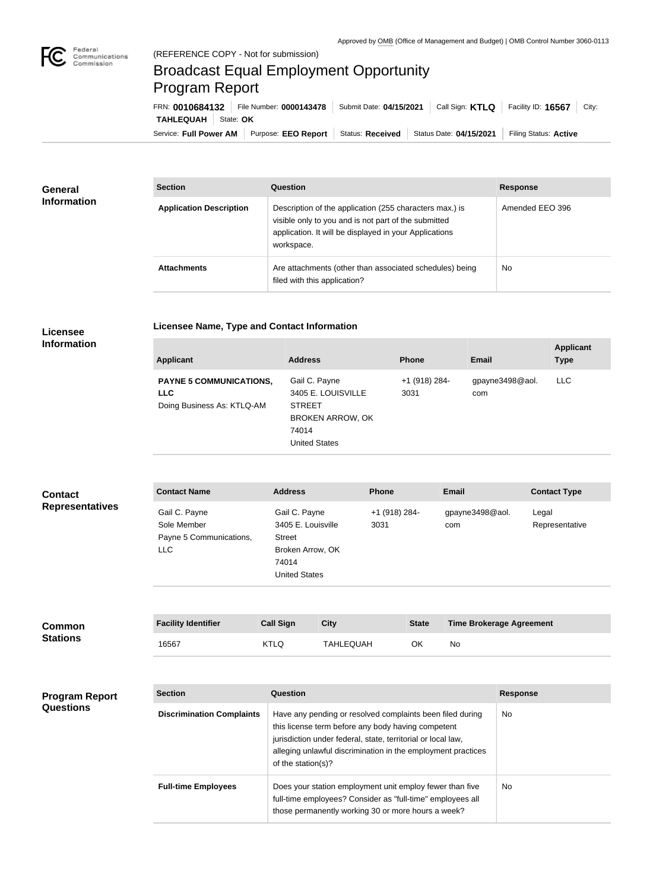

## Broadcast Equal Employment Opportunity Program Report

**Licensee Name, Type and Contact Information**

Service: Full Power AM | Purpose: EEO Report | Status: Received | Status Date: 04/15/2021 | Filing Status: Active **TAHLEQUAH** State: OK FRN: **0010684132** File Number: **0000143478** Submit Date: **04/15/2021** Call Sign: **KTLQ** Facility ID: **16567** City:

| <b>General</b><br><b>Information</b> | <b>Section</b>                 | <b>Question</b>                                                                                                                                                                         | <b>Response</b> |
|--------------------------------------|--------------------------------|-----------------------------------------------------------------------------------------------------------------------------------------------------------------------------------------|-----------------|
|                                      | <b>Application Description</b> | Description of the application (255 characters max.) is<br>visible only to you and is not part of the submitted<br>application. It will be displayed in your Applications<br>workspace. | Amended EEO 396 |
|                                      | <b>Attachments</b>             | Are attachments (other than associated schedules) being<br>filed with this application?                                                                                                 | No              |

## **Licensee Information**

| <b>Applicant</b>                                                           | <b>Address</b>                                                                                                   | <b>Phone</b>          | Email                  | <b>Applicant</b><br><b>Type</b> |
|----------------------------------------------------------------------------|------------------------------------------------------------------------------------------------------------------|-----------------------|------------------------|---------------------------------|
| <b>PAYNE 5 COMMUNICATIONS,</b><br><b>LLC</b><br>Doing Business As: KTLQ-AM | Gail C. Payne<br>3405 E. LOUISVILLE<br><b>STREET</b><br><b>BROKEN ARROW, OK</b><br>74014<br><b>United States</b> | +1 (918) 284-<br>3031 | gpayne3498@aol.<br>com | LLC                             |

| <b>Contact</b><br><b>Representatives</b> | <b>Contact Name</b>                                     | <b>Address</b>                                    | <b>Phone</b>          | <b>Email</b>           | <b>Contact Type</b>     |
|------------------------------------------|---------------------------------------------------------|---------------------------------------------------|-----------------------|------------------------|-------------------------|
|                                          | Gail C. Payne<br>Sole Member<br>Payne 5 Communications, | Gail C. Payne<br>3405 E. Louisville<br>Street     | +1 (918) 284-<br>3031 | gpayne3498@aol.<br>com | Legal<br>Representative |
|                                          | <b>LLC</b>                                              | Broken Arrow, OK<br>74014<br><b>United States</b> |                       |                        |                         |

| <b>Common</b><br><b>Stations</b> | <b>Facility Identifier</b> | <b>Call Sign</b> | <b>City</b> | <b>State</b> | <b>Time Brokerage Agreement</b> |
|----------------------------------|----------------------------|------------------|-------------|--------------|---------------------------------|
|                                  | 16567                      | KTLQ             | TAHLEOUAH   | ОK           | No                              |

| <b>Program Report</b><br><b>Questions</b> | <b>Section</b>                   | Question                                                                                                                                                                                                                                                              | <b>Response</b> |
|-------------------------------------------|----------------------------------|-----------------------------------------------------------------------------------------------------------------------------------------------------------------------------------------------------------------------------------------------------------------------|-----------------|
|                                           | <b>Discrimination Complaints</b> | Have any pending or resolved complaints been filed during<br>this license term before any body having competent<br>jurisdiction under federal, state, territorial or local law,<br>alleging unlawful discrimination in the employment practices<br>of the station(s)? | <b>No</b>       |
|                                           | <b>Full-time Employees</b>       | Does your station employment unit employ fewer than five<br>full-time employees? Consider as "full-time" employees all<br>those permanently working 30 or more hours a week?                                                                                          | No.             |